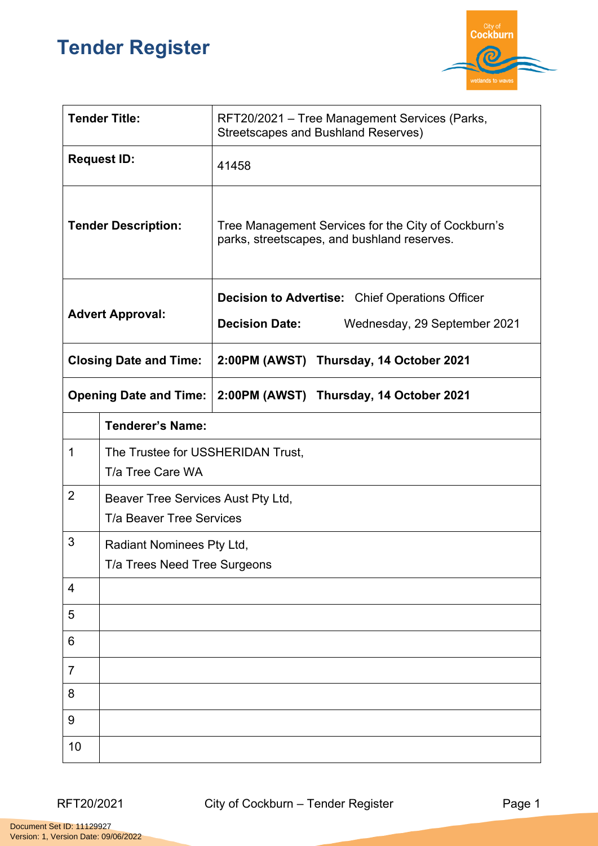## **Tender Register**



| <b>Tender Title:</b>          |                                                                | RFT20/2021 - Tree Management Services (Parks,<br>Streetscapes and Bushland Reserves)               |  |
|-------------------------------|----------------------------------------------------------------|----------------------------------------------------------------------------------------------------|--|
| <b>Request ID:</b>            |                                                                | 41458                                                                                              |  |
| <b>Tender Description:</b>    |                                                                | Tree Management Services for the City of Cockburn's<br>parks, streetscapes, and bushland reserves. |  |
| <b>Advert Approval:</b>       |                                                                | <b>Decision to Advertise:</b> Chief Operations Officer                                             |  |
|                               |                                                                | <b>Decision Date:</b><br>Wednesday, 29 September 2021                                              |  |
| <b>Closing Date and Time:</b> |                                                                | 2:00PM (AWST) Thursday, 14 October 2021                                                            |  |
| <b>Opening Date and Time:</b> |                                                                | 2:00PM (AWST) Thursday, 14 October 2021                                                            |  |
|                               | <b>Tenderer's Name:</b>                                        |                                                                                                    |  |
| 1                             | The Trustee for USSHERIDAN Trust,<br>T/a Tree Care WA          |                                                                                                    |  |
| $\overline{2}$                | Beaver Tree Services Aust Pty Ltd,<br>T/a Beaver Tree Services |                                                                                                    |  |
| 3                             | Radiant Nominees Pty Ltd,                                      |                                                                                                    |  |
|                               | T/a Trees Need Tree Surgeons                                   |                                                                                                    |  |
| 4                             |                                                                |                                                                                                    |  |
| 5                             |                                                                |                                                                                                    |  |
| 6                             |                                                                |                                                                                                    |  |
| $\overline{7}$                |                                                                |                                                                                                    |  |
| 8                             |                                                                |                                                                                                    |  |
| 9                             |                                                                |                                                                                                    |  |
| 10                            |                                                                |                                                                                                    |  |